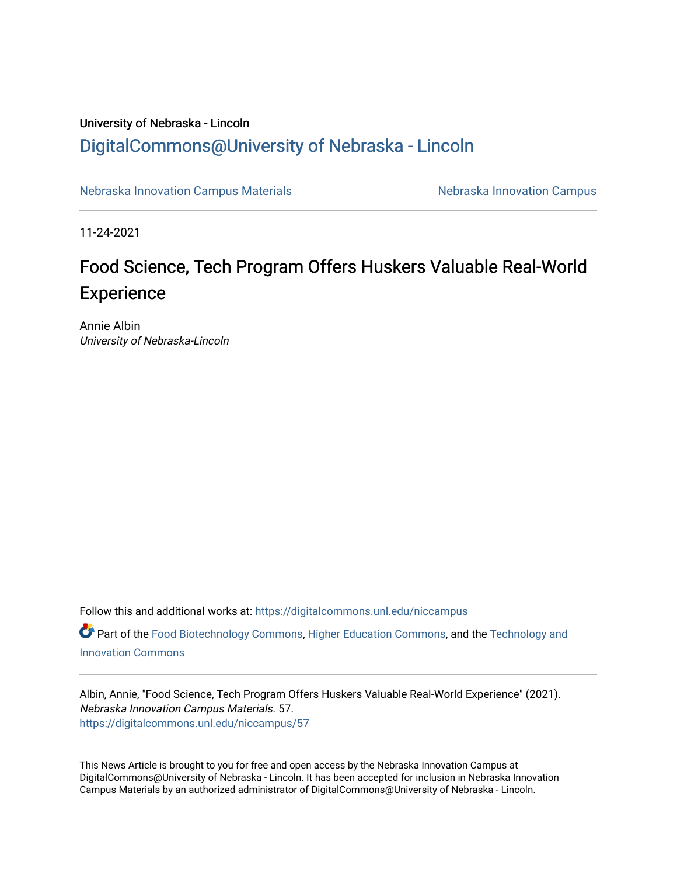### University of Nebraska - Lincoln [DigitalCommons@University of Nebraska - Lincoln](https://digitalcommons.unl.edu/)

[Nebraska Innovation Campus Materials](https://digitalcommons.unl.edu/niccampus) Nebraska Innovation Campus

11-24-2021

## Food Science, Tech Program Offers Huskers Valuable Real-World **Experience**

Annie Albin University of Nebraska-Lincoln

Follow this and additional works at: [https://digitalcommons.unl.edu/niccampus](https://digitalcommons.unl.edu/niccampus?utm_source=digitalcommons.unl.edu%2Fniccampus%2F57&utm_medium=PDF&utm_campaign=PDFCoverPages) 

**Part of the [Food Biotechnology Commons](http://network.bepress.com/hgg/discipline/88?utm_source=digitalcommons.unl.edu%2Fniccampus%2F57&utm_medium=PDF&utm_campaign=PDFCoverPages), [Higher Education Commons](http://network.bepress.com/hgg/discipline/1245?utm_source=digitalcommons.unl.edu%2Fniccampus%2F57&utm_medium=PDF&utm_campaign=PDFCoverPages), and the Technology and** [Innovation Commons](http://network.bepress.com/hgg/discipline/644?utm_source=digitalcommons.unl.edu%2Fniccampus%2F57&utm_medium=PDF&utm_campaign=PDFCoverPages)

Albin, Annie, "Food Science, Tech Program Offers Huskers Valuable Real-World Experience" (2021). Nebraska Innovation Campus Materials. 57. [https://digitalcommons.unl.edu/niccampus/57](https://digitalcommons.unl.edu/niccampus/57?utm_source=digitalcommons.unl.edu%2Fniccampus%2F57&utm_medium=PDF&utm_campaign=PDFCoverPages) 

This News Article is brought to you for free and open access by the Nebraska Innovation Campus at DigitalCommons@University of Nebraska - Lincoln. It has been accepted for inclusion in Nebraska Innovation Campus Materials by an authorized administrator of DigitalCommons@University of Nebraska - Lincoln.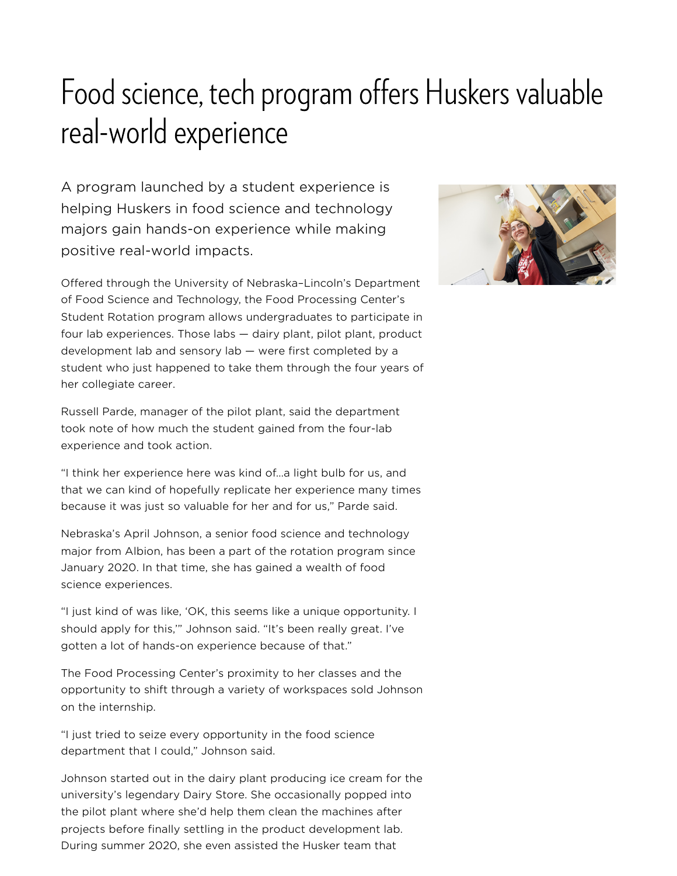# Food science, tech program offers Huskers valuable real-world experience

A program launched by a student experience is helping Huskers in food science and technology majors gain hands-on experience while making positive real-world impacts.

Offered through the University of Nebraska–Lincoln's Department of Food Science and Technology, the Food Processing Center's Student Rotation program allows undergraduates to participate in four lab experiences. Those labs — dairy plant, pilot plant, product development lab and sensory lab — were first completed by a student who just happened to take them through the four years of her collegiate career.

Russell Parde, manager of the pilot plant, said the department took note of how much the student gained from the four-lab experience and took action.

"I think her experience here was kind of…a light bulb for us, and that we can kind of hopefully replicate her experience many times because it was just so valuable for her and for us," Parde said.

Nebraska's April Johnson, a senior food science and technology major from Albion, has been a part of the rotation program since January 2020. In that time, she has gained a wealth of food science experiences.

"I just kind of was like, 'OK, this seems like a unique opportunity. I should apply for this,'" Johnson said. "It's been really great. I've gotten a lot of hands-on experience because of that."

The Food Processing Center's proximity to her classes and the opportunity to shift through a variety of workspaces sold Johnson on the internship.

"I just tried to seize every opportunity in the food science department that I could," Johnson said.

Johnson started out in the dairy plant producing ice cream for the university's legendary Dairy Store. She occasionally popped into the pilot plant where she'd help them clean the machines after projects before finally settling in the product development lab. During summer 2020, she even assisted the Husker team that

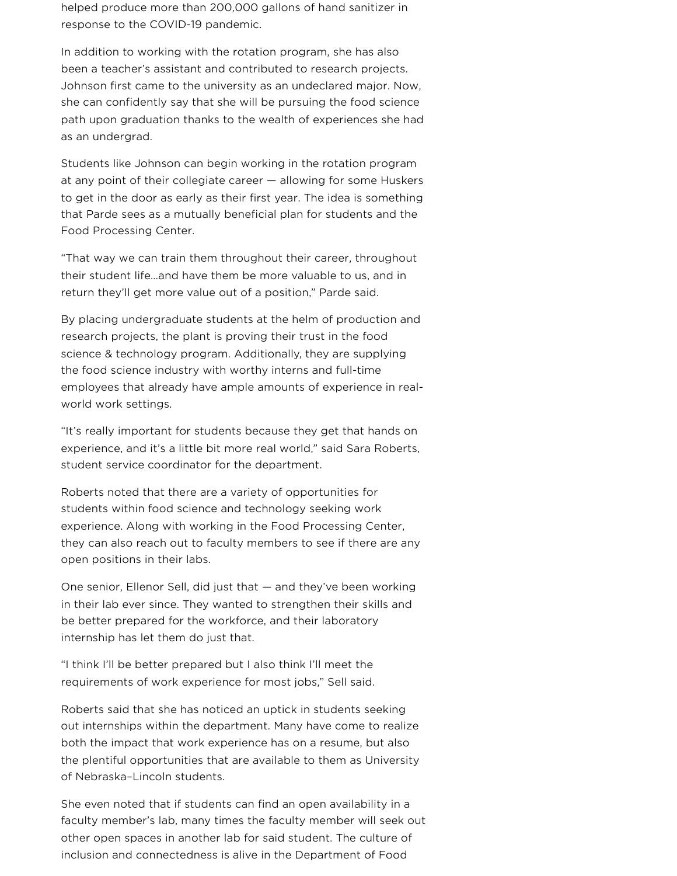helped produce more than 200,000 gallons of hand sanitizer in response to the COVID-19 pandemic.

In addition to working with the rotation program, she has also been a teacher's assistant and contributed to research projects. Johnson first came to the university as an undeclared major. Now, she can confidently say that she will be pursuing the food science path upon graduation thanks to the wealth of experiences she had as an undergrad.

Students like Johnson can begin working in the rotation program at any point of their collegiate career — allowing for some Huskers to get in the door as early as their first year. The idea is something that Parde sees as a mutually beneficial plan for students and the Food Processing Center.

"That way we can train them throughout their career, throughout their student life…and have them be more valuable to us, and in return they'll get more value out of a position," Parde said.

By placing undergraduate students at the helm of production and research projects, the plant is proving their trust in the food science & technology program. Additionally, they are supplying the food science industry with worthy interns and full-time employees that already have ample amounts of experience in realworld work settings.

"It's really important for students because they get that hands on experience, and it's a little bit more real world," said Sara Roberts, student service coordinator for the department.

Roberts noted that there are a variety of opportunities for students within food science and technology seeking work experience. Along with working in the Food Processing Center, they can also reach out to faculty members to see if there are any open positions in their labs.

One senior, Ellenor Sell, did just that — and they've been working in their lab ever since. They wanted to strengthen their skills and be better prepared for the workforce, and their laboratory internship has let them do just that.

"I think I'll be better prepared but I also think I'll meet the requirements of work experience for most jobs," Sell said.

Roberts said that she has noticed an uptick in students seeking out internships within the department. Many have come to realize both the impact that work experience has on a resume, but also the plentiful opportunities that are available to them as University of Nebraska–Lincoln students.

She even noted that if students can find an open availability in a faculty member's lab, many times the faculty member will seek out other open spaces in another lab for said student. The culture of inclusion and connectedness is alive in the Department of Food